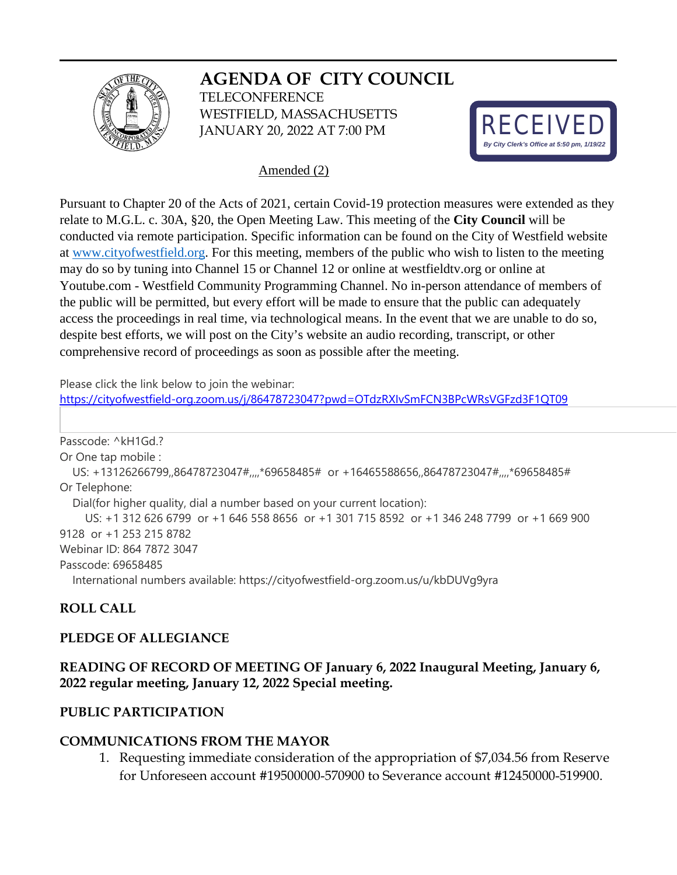# **AGENDA OF CITY COUNCIL**



**TELECONFERENCE** WESTFIELD, MASSACHUSETTS JANUARY 20, 2022 AT 7:00 PM



#### Amended (2)

Pursuant to Chapter 20 of the Acts of 2021, certain Covid-19 protection measures were extended as they relate to M.G.L. c. 30A, §20, the Open Meeting Law. This meeting of the **City Council** will be conducted via remote participation. Specific information can be found on the City of Westfield website at [www.cityofwestfield.org.](http://www.cityofwestfield.org/) For this meeting, members of the public who wish to listen to the meeting may do so by tuning into Channel 15 or Channel 12 or online at westfieldtv.org or online at Youtube.com - Westfield Community Programming Channel. No in-person attendance of members of the public will be permitted, but every effort will be made to ensure that the public can adequately access the proceedings in real time, via technological means. In the event that we are unable to do so, despite best efforts, we will post on the City's website an audio recording, transcript, or other comprehensive record of proceedings as soon as possible after the meeting.

Please click the link below to join the webinar:

<https://cityofwestfield-org.zoom.us/j/86478723047?pwd=OTdzRXIvSmFCN3BPcWRsVGFzd3F1QT09>

Passcode: ^kH1Gd.? Or One tap mobile : US: +13126266799,,86478723047#,,,,\*69658485# or +16465588656,,86478723047#,,,,\*69658485# Or Telephone: Dial(for higher quality, dial a number based on your current location): US: +1 312 626 6799 or +1 646 558 8656 or +1 301 715 8592 or +1 346 248 7799 or +1 669 900 9128 or +1 253 215 8782 Webinar ID: 864 7872 3047 Passcode: 69658485 International numbers available: https://cityofwestfield-org.zoom.us/u/kbDUVg9yra

## **ROLL CALL**

#### **PLEDGE OF ALLEGIANCE**

#### **READING OF RECORD OF MEETING OF January 6, 2022 Inaugural Meeting, January 6, 2022 regular meeting, January 12, 2022 Special meeting.**

#### **PUBLIC PARTICIPATION**

#### **COMMUNICATIONS FROM THE MAYOR**

1. Requesting immediate consideration of the appropriation of \$7,034.56 from Reserve for Unforeseen account #19500000-570900 to Severance account #12450000-519900.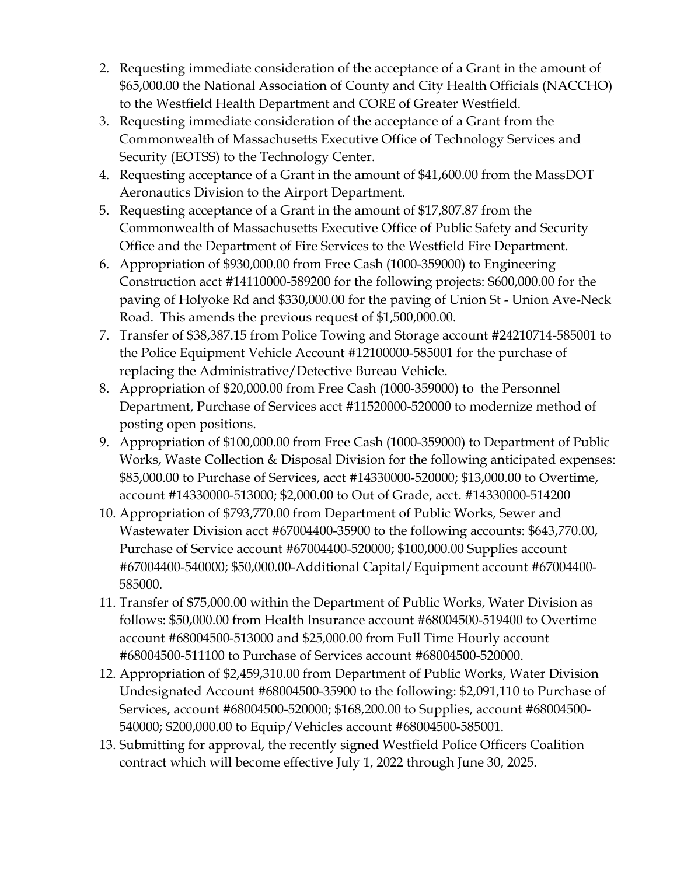- 2. Requesting immediate consideration of the acceptance of a Grant in the amount of \$65,000.00 the National Association of County and City Health Officials (NACCHO) to the Westfield Health Department and CORE of Greater Westfield.
- 3. Requesting immediate consideration of the acceptance of a Grant from the Commonwealth of Massachusetts Executive Office of Technology Services and Security (EOTSS) to the Technology Center.
- 4. Requesting acceptance of a Grant in the amount of \$41,600.00 from the MassDOT Aeronautics Division to the Airport Department.
- 5. Requesting acceptance of a Grant in the amount of \$17,807.87 from the Commonwealth of Massachusetts Executive Office of Public Safety and Security Office and the Department of Fire Services to the Westfield Fire Department.
- 6. Appropriation of \$930,000.00 from Free Cash (1000-359000) to Engineering Construction acct #14110000-589200 for the following projects: \$600,000.00 for the paving of Holyoke Rd and \$330,000.00 for the paving of Union St - Union Ave-Neck Road. This amends the previous request of \$1,500,000.00.
- 7. Transfer of \$38,387.15 from Police Towing and Storage account #24210714-585001 to the Police Equipment Vehicle Account #12100000-585001 for the purchase of replacing the Administrative/Detective Bureau Vehicle.
- 8. Appropriation of \$20,000.00 from Free Cash (1000-359000) to the Personnel Department, Purchase of Services acct #11520000-520000 to modernize method of posting open positions.
- 9. Appropriation of \$100,000.00 from Free Cash (1000-359000) to Department of Public Works, Waste Collection & Disposal Division for the following anticipated expenses: \$85,000.00 to Purchase of Services, acct #14330000-520000; \$13,000.00 to Overtime, account #14330000-513000; \$2,000.00 to Out of Grade, acct. #14330000-514200
- 10. Appropriation of \$793,770.00 from Department of Public Works, Sewer and Wastewater Division acct #67004400-35900 to the following accounts: \$643,770.00, Purchase of Service account #67004400-520000; \$100,000.00 Supplies account #67004400-540000; \$50,000.00-Additional Capital/Equipment account #67004400- 585000.
- 11. Transfer of \$75,000.00 within the Department of Public Works, Water Division as follows: \$50,000.00 from Health Insurance account #68004500-519400 to Overtime account #68004500-513000 and \$25,000.00 from Full Time Hourly account #68004500-511100 to Purchase of Services account #68004500-520000.
- 12. Appropriation of \$2,459,310.00 from Department of Public Works, Water Division Undesignated Account #68004500-35900 to the following: \$2,091,110 to Purchase of Services, account #68004500-520000; \$168,200.00 to Supplies, account #68004500- 540000; \$200,000.00 to Equip/Vehicles account #68004500-585001.
- 13. Submitting for approval, the recently signed Westfield Police Officers Coalition contract which will become effective July 1, 2022 through June 30, 2025.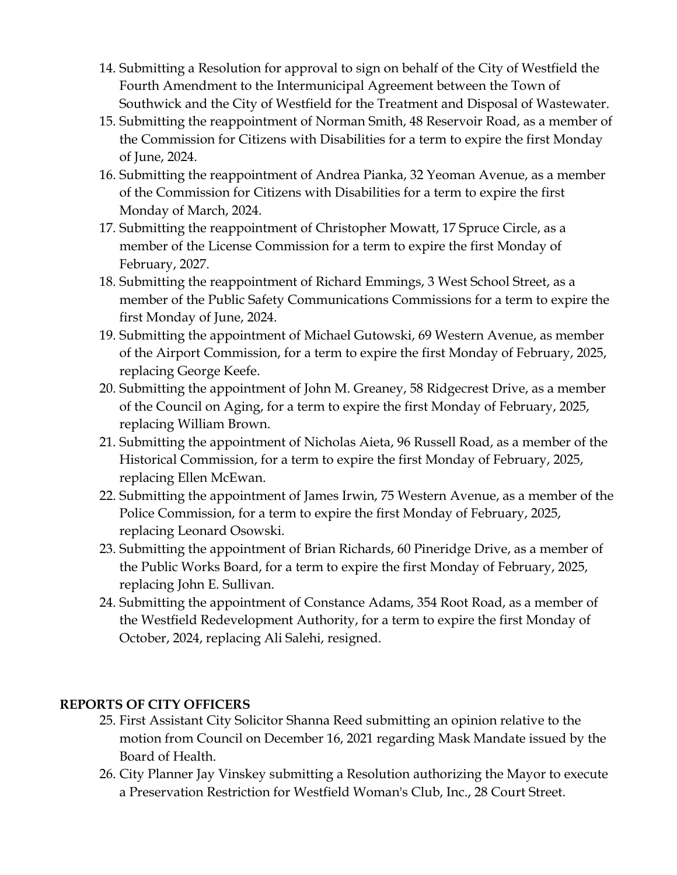- 14. Submitting a Resolution for approval to sign on behalf of the City of Westfield the Fourth Amendment to the Intermunicipal Agreement between the Town of Southwick and the City of Westfield for the Treatment and Disposal of Wastewater.
- 15. Submitting the reappointment of Norman Smith, 48 Reservoir Road, as a member of the Commission for Citizens with Disabilities for a term to expire the first Monday of June, 2024.
- 16. Submitting the reappointment of Andrea Pianka, 32 Yeoman Avenue, as a member of the Commission for Citizens with Disabilities for a term to expire the first Monday of March, 2024.
- 17. Submitting the reappointment of Christopher Mowatt, 17 Spruce Circle, as a member of the License Commission for a term to expire the first Monday of February, 2027.
- 18. Submitting the reappointment of Richard Emmings, 3 West School Street, as a member of the Public Safety Communications Commissions for a term to expire the first Monday of June, 2024.
- 19. Submitting the appointment of Michael Gutowski, 69 Western Avenue, as member of the Airport Commission, for a term to expire the first Monday of February, 2025, replacing George Keefe.
- 20. Submitting the appointment of John M. Greaney, 58 Ridgecrest Drive, as a member of the Council on Aging, for a term to expire the first Monday of February, 2025, replacing William Brown.
- 21. Submitting the appointment of Nicholas Aieta, 96 Russell Road, as a member of the Historical Commission, for a term to expire the first Monday of February, 2025, replacing Ellen McEwan.
- 22. Submitting the appointment of James Irwin, 75 Western Avenue, as a member of the Police Commission, for a term to expire the first Monday of February, 2025, replacing Leonard Osowski.
- 23. Submitting the appointment of Brian Richards, 60 Pineridge Drive, as a member of the Public Works Board, for a term to expire the first Monday of February, 2025, replacing John E. Sullivan.
- 24. Submitting the appointment of Constance Adams, 354 Root Road, as a member of the Westfield Redevelopment Authority, for a term to expire the first Monday of October, 2024, replacing Ali Salehi, resigned.

## **REPORTS OF CITY OFFICERS**

- 25. First Assistant City Solicitor Shanna Reed submitting an opinion relative to the motion from Council on December 16, 2021 regarding Mask Mandate issued by the Board of Health.
- 26. City Planner Jay Vinskey submitting a Resolution authorizing the Mayor to execute a Preservation Restriction for Westfield Woman's Club, Inc., 28 Court Street.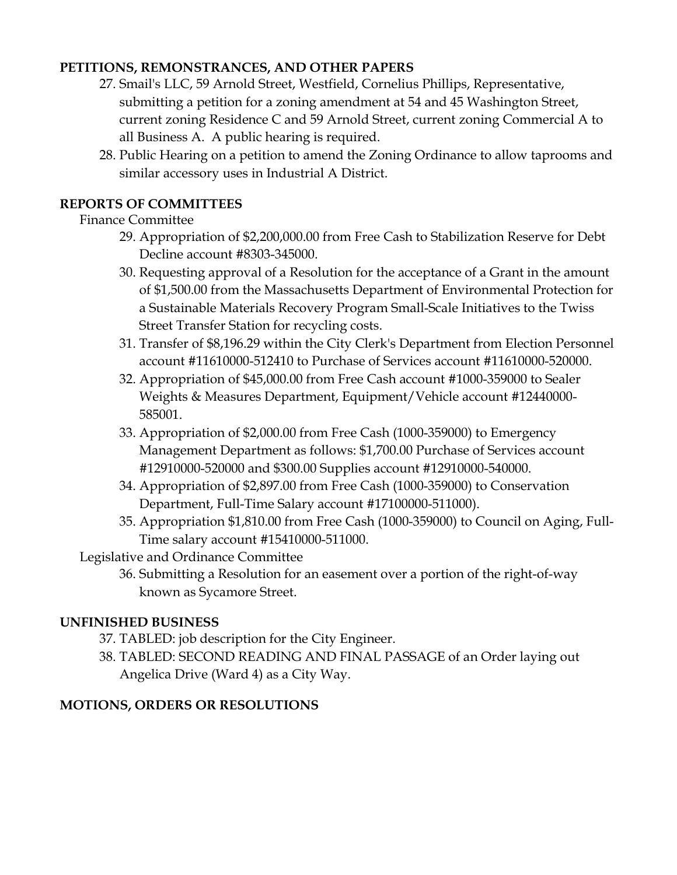# **PETITIONS, REMONSTRANCES, AND OTHER PAPERS**

- 27. Smail's LLC, 59 Arnold Street, Westfield, Cornelius Phillips, Representative, submitting a petition for a zoning amendment at 54 and 45 Washington Street, current zoning Residence C and 59 Arnold Street, current zoning Commercial A to all Business A. A public hearing is required.
- 28. Public Hearing on a petition to amend the Zoning Ordinance to allow taprooms and similar accessory uses in Industrial A District.

# **REPORTS OF COMMITTEES**

## Finance Committee

- 29. Appropriation of \$2,200,000.00 from Free Cash to Stabilization Reserve for Debt Decline account #8303-345000.
- 30. Requesting approval of a Resolution for the acceptance of a Grant in the amount of \$1,500.00 from the Massachusetts Department of Environmental Protection for a Sustainable Materials Recovery Program Small-Scale Initiatives to the Twiss Street Transfer Station for recycling costs.
- 31. Transfer of \$8,196.29 within the City Clerk's Department from Election Personnel account #11610000-512410 to Purchase of Services account #11610000-520000.
- 32. Appropriation of \$45,000.00 from Free Cash account #1000-359000 to Sealer Weights & Measures Department, Equipment/Vehicle account #12440000- 585001.
- 33. Appropriation of \$2,000.00 from Free Cash (1000-359000) to Emergency Management Department as follows: \$1,700.00 Purchase of Services account #12910000-520000 and \$300.00 Supplies account #12910000-540000.
- 34. Appropriation of \$2,897.00 from Free Cash (1000-359000) to Conservation Department, Full-Time Salary account #17100000-511000).
- 35. Appropriation \$1,810.00 from Free Cash (1000-359000) to Council on Aging, Full-Time salary account #15410000-511000.

## Legislative and Ordinance Committee

36. Submitting a Resolution for an easement over a portion of the right-of-way known as Sycamore Street.

## **UNFINISHED BUSINESS**

- 37. TABLED: job description for the City Engineer.
- 38. TABLED: SECOND READING AND FINAL PASSAGE of an Order laying out Angelica Drive (Ward 4) as a City Way.

# **MOTIONS, ORDERS OR RESOLUTIONS**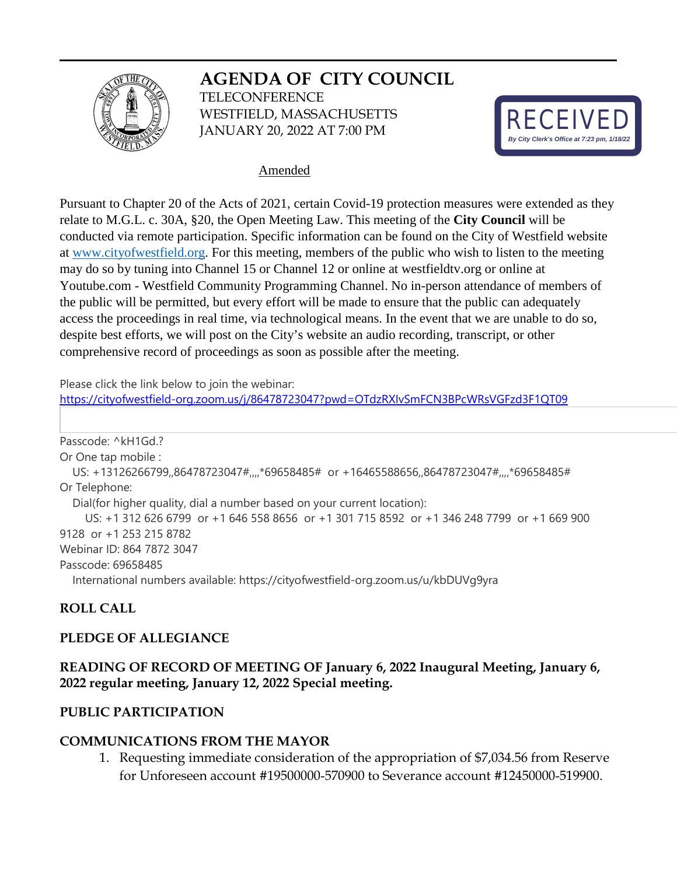# **AGENDA OF CITY COUNCIL**



**TELECONFERENCE** WESTFIELD, MASSACHUSETTS JANUARY 20, 2022 AT 7:00 PM



#### Amended

Pursuant to Chapter 20 of the Acts of 2021, certain Covid-19 protection measures were extended as they relate to M.G.L. c. 30A, §20, the Open Meeting Law. This meeting of the **City Council** will be conducted via remote participation. Specific information can be found on the City of Westfield website at [www.cityofwestfield.org.](http://www.cityofwestfield.org/) For this meeting, members of the public who wish to listen to the meeting may do so by tuning into Channel 15 or Channel 12 or online at westfieldtv.org or online at Youtube.com - Westfield Community Programming Channel. No in-person attendance of members of the public will be permitted, but every effort will be made to ensure that the public can adequately access the proceedings in real time, via technological means. In the event that we are unable to do so, despite best efforts, we will post on the City's website an audio recording, transcript, or other comprehensive record of proceedings as soon as possible after the meeting.

Please click the link below to join the webinar:

<https://cityofwestfield-org.zoom.us/j/86478723047?pwd=OTdzRXIvSmFCN3BPcWRsVGFzd3F1QT09>

Passcode: ^kH1Gd.? Or One tap mobile : US: +13126266799,,86478723047#,,,,\*69658485# or +16465588656,,86478723047#,,,,\*69658485# Or Telephone: Dial(for higher quality, dial a number based on your current location): US: +1 312 626 6799 or +1 646 558 8656 or +1 301 715 8592 or +1 346 248 7799 or +1 669 900 9128 or +1 253 215 8782 Webinar ID: 864 7872 3047 Passcode: 69658485 International numbers available: https://cityofwestfield-org.zoom.us/u/kbDUVg9yra

## **ROLL CALL**

#### **PLEDGE OF ALLEGIANCE**

## **READING OF RECORD OF MEETING OF January 6, 2022 Inaugural Meeting, January 6, 2022 regular meeting, January 12, 2022 Special meeting.**

#### **PUBLIC PARTICIPATION**

#### **COMMUNICATIONS FROM THE MAYOR**

1. Requesting immediate consideration of the appropriation of \$7,034.56 from Reserve for Unforeseen account #19500000-570900 to Severance account #12450000-519900.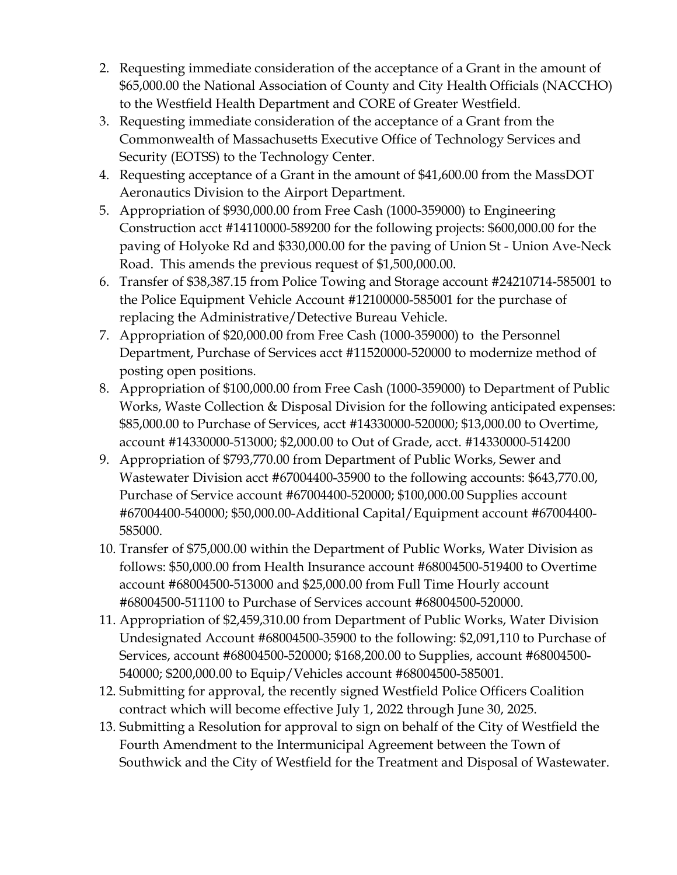- 2. Requesting immediate consideration of the acceptance of a Grant in the amount of \$65,000.00 the National Association of County and City Health Officials (NACCHO) to the Westfield Health Department and CORE of Greater Westfield.
- 3. Requesting immediate consideration of the acceptance of a Grant from the Commonwealth of Massachusetts Executive Office of Technology Services and Security (EOTSS) to the Technology Center.
- 4. Requesting acceptance of a Grant in the amount of \$41,600.00 from the MassDOT Aeronautics Division to the Airport Department.
- 5. Appropriation of \$930,000.00 from Free Cash (1000-359000) to Engineering Construction acct #14110000-589200 for the following projects: \$600,000.00 for the paving of Holyoke Rd and \$330,000.00 for the paving of Union St - Union Ave-Neck Road. This amends the previous request of \$1,500,000.00.
- 6. Transfer of \$38,387.15 from Police Towing and Storage account #24210714-585001 to the Police Equipment Vehicle Account #12100000-585001 for the purchase of replacing the Administrative/Detective Bureau Vehicle.
- 7. Appropriation of \$20,000.00 from Free Cash (1000-359000) to the Personnel Department, Purchase of Services acct #11520000-520000 to modernize method of posting open positions.
- 8. Appropriation of \$100,000.00 from Free Cash (1000-359000) to Department of Public Works, Waste Collection & Disposal Division for the following anticipated expenses: \$85,000.00 to Purchase of Services, acct #14330000-520000; \$13,000.00 to Overtime, account #14330000-513000; \$2,000.00 to Out of Grade, acct. #14330000-514200
- 9. Appropriation of \$793,770.00 from Department of Public Works, Sewer and Wastewater Division acct #67004400-35900 to the following accounts: \$643,770.00, Purchase of Service account #67004400-520000; \$100,000.00 Supplies account #67004400-540000; \$50,000.00-Additional Capital/Equipment account #67004400- 585000.
- 10. Transfer of \$75,000.00 within the Department of Public Works, Water Division as follows: \$50,000.00 from Health Insurance account #68004500-519400 to Overtime account #68004500-513000 and \$25,000.00 from Full Time Hourly account #68004500-511100 to Purchase of Services account #68004500-520000.
- 11. Appropriation of \$2,459,310.00 from Department of Public Works, Water Division Undesignated Account #68004500-35900 to the following: \$2,091,110 to Purchase of Services, account #68004500-520000; \$168,200.00 to Supplies, account #68004500- 540000; \$200,000.00 to Equip/Vehicles account #68004500-585001.
- 12. Submitting for approval, the recently signed Westfield Police Officers Coalition contract which will become effective July 1, 2022 through June 30, 2025.
- 13. Submitting a Resolution for approval to sign on behalf of the City of Westfield the Fourth Amendment to the Intermunicipal Agreement between the Town of Southwick and the City of Westfield for the Treatment and Disposal of Wastewater.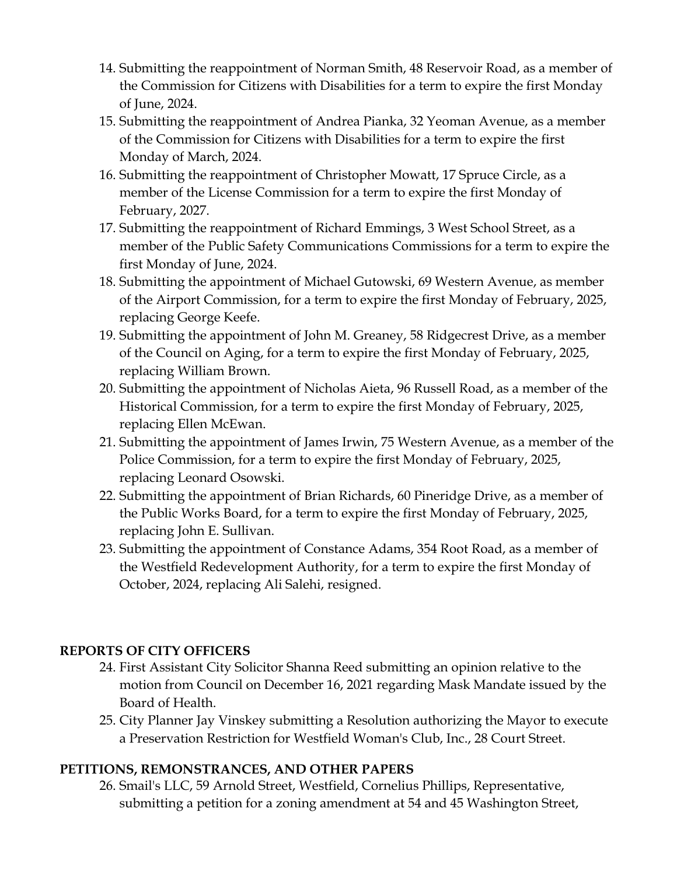- 14. Submitting the reappointment of Norman Smith, 48 Reservoir Road, as a member of the Commission for Citizens with Disabilities for a term to expire the first Monday of June, 2024.
- 15. Submitting the reappointment of Andrea Pianka, 32 Yeoman Avenue, as a member of the Commission for Citizens with Disabilities for a term to expire the first Monday of March, 2024.
- 16. Submitting the reappointment of Christopher Mowatt, 17 Spruce Circle, as a member of the License Commission for a term to expire the first Monday of February, 2027.
- 17. Submitting the reappointment of Richard Emmings, 3 West School Street, as a member of the Public Safety Communications Commissions for a term to expire the first Monday of June, 2024.
- 18. Submitting the appointment of Michael Gutowski, 69 Western Avenue, as member of the Airport Commission, for a term to expire the first Monday of February, 2025, replacing George Keefe.
- 19. Submitting the appointment of John M. Greaney, 58 Ridgecrest Drive, as a member of the Council on Aging, for a term to expire the first Monday of February, 2025, replacing William Brown.
- 20. Submitting the appointment of Nicholas Aieta, 96 Russell Road, as a member of the Historical Commission, for a term to expire the first Monday of February, 2025, replacing Ellen McEwan.
- 21. Submitting the appointment of James Irwin, 75 Western Avenue, as a member of the Police Commission, for a term to expire the first Monday of February, 2025, replacing Leonard Osowski.
- 22. Submitting the appointment of Brian Richards, 60 Pineridge Drive, as a member of the Public Works Board, for a term to expire the first Monday of February, 2025, replacing John E. Sullivan.
- 23. Submitting the appointment of Constance Adams, 354 Root Road, as a member of the Westfield Redevelopment Authority, for a term to expire the first Monday of October, 2024, replacing Ali Salehi, resigned.

## **REPORTS OF CITY OFFICERS**

- 24. First Assistant City Solicitor Shanna Reed submitting an opinion relative to the motion from Council on December 16, 2021 regarding Mask Mandate issued by the Board of Health.
- 25. City Planner Jay Vinskey submitting a Resolution authorizing the Mayor to execute a Preservation Restriction for Westfield Woman's Club, Inc., 28 Court Street.

## **PETITIONS, REMONSTRANCES, AND OTHER PAPERS**

26. Smail's LLC, 59 Arnold Street, Westfield, Cornelius Phillips, Representative, submitting a petition for a zoning amendment at 54 and 45 Washington Street,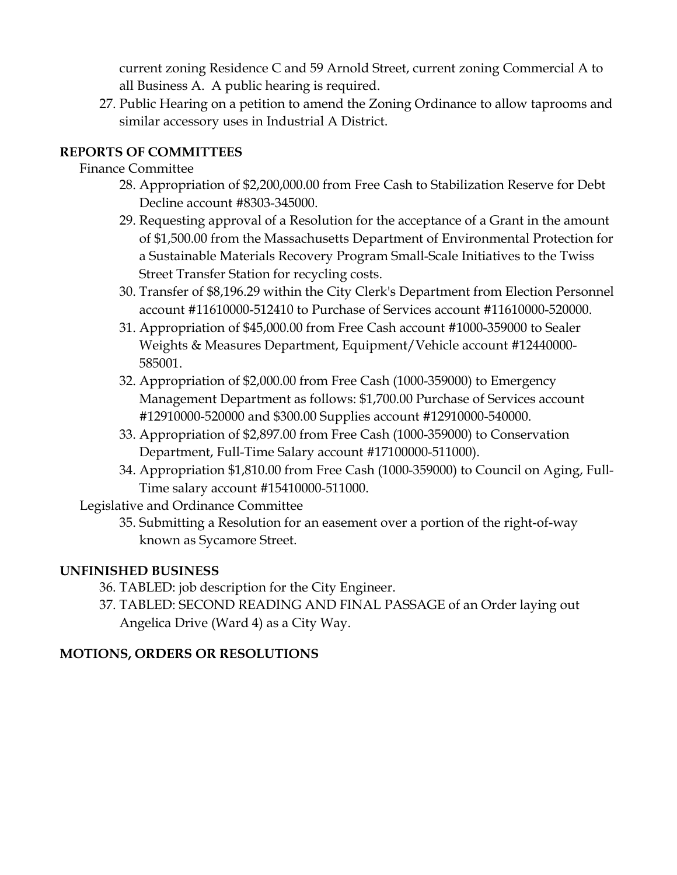current zoning Residence C and 59 Arnold Street, current zoning Commercial A to all Business A. A public hearing is required.

27. Public Hearing on a petition to amend the Zoning Ordinance to allow taprooms and similar accessory uses in Industrial A District.

# **REPORTS OF COMMITTEES**

# Finance Committee

- 28. Appropriation of \$2,200,000.00 from Free Cash to Stabilization Reserve for Debt Decline account #8303-345000.
- 29. Requesting approval of a Resolution for the acceptance of a Grant in the amount of \$1,500.00 from the Massachusetts Department of Environmental Protection for a Sustainable Materials Recovery Program Small-Scale Initiatives to the Twiss Street Transfer Station for recycling costs.
- 30. Transfer of \$8,196.29 within the City Clerk's Department from Election Personnel account #11610000-512410 to Purchase of Services account #11610000-520000.
- 31. Appropriation of \$45,000.00 from Free Cash account #1000-359000 to Sealer Weights & Measures Department, Equipment/Vehicle account #12440000- 585001.
- 32. Appropriation of \$2,000.00 from Free Cash (1000-359000) to Emergency Management Department as follows: \$1,700.00 Purchase of Services account #12910000-520000 and \$300.00 Supplies account #12910000-540000.
- 33. Appropriation of \$2,897.00 from Free Cash (1000-359000) to Conservation Department, Full-Time Salary account #17100000-511000).
- 34. Appropriation \$1,810.00 from Free Cash (1000-359000) to Council on Aging, Full-Time salary account #15410000-511000.

Legislative and Ordinance Committee

35. Submitting a Resolution for an easement over a portion of the right-of-way known as Sycamore Street.

# **UNFINISHED BUSINESS**

- 36. TABLED: job description for the City Engineer.
- 37. TABLED: SECOND READING AND FINAL PASSAGE of an Order laying out Angelica Drive (Ward 4) as a City Way.

# **MOTIONS, ORDERS OR RESOLUTIONS**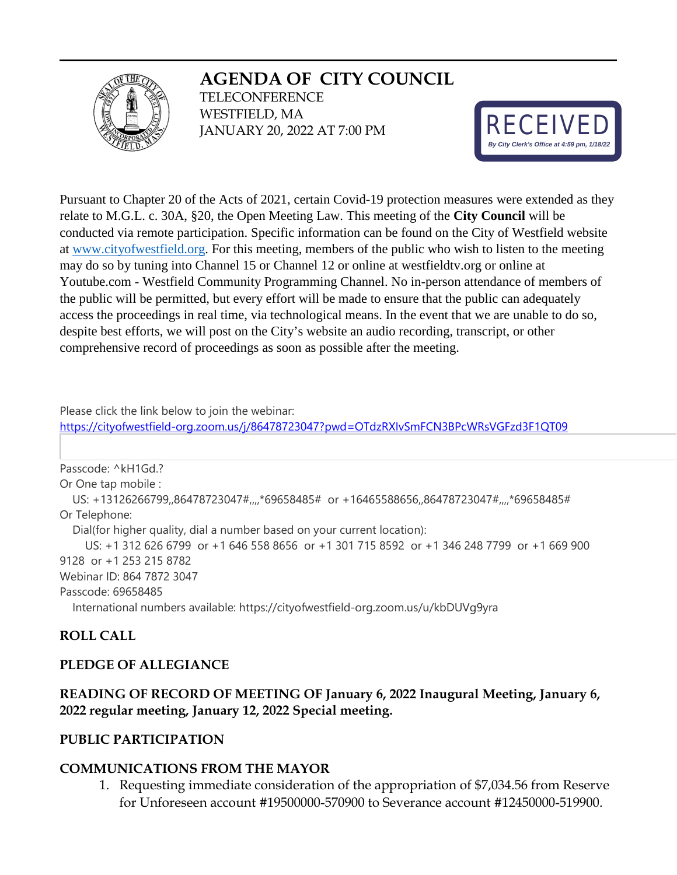# **AGENDA OF CITY COUNCIL**



**TELECONFERENCE** WESTFIELD, MA JANUARY 20, 2022 AT 7:00 PM



Pursuant to Chapter 20 of the Acts of 2021, certain Covid-19 protection measures were extended as they relate to M.G.L. c. 30A, §20, the Open Meeting Law. This meeting of the **City Council** will be conducted via remote participation. Specific information can be found on the City of Westfield website at [www.cityofwestfield.org.](http://www.cityofwestfield.org/) For this meeting, members of the public who wish to listen to the meeting may do so by tuning into Channel 15 or Channel 12 or online at westfieldtv.org or online at Youtube.com - Westfield Community Programming Channel. No in-person attendance of members of the public will be permitted, but every effort will be made to ensure that the public can adequately access the proceedings in real time, via technological means. In the event that we are unable to do so, despite best efforts, we will post on the City's website an audio recording, transcript, or other comprehensive record of proceedings as soon as possible after the meeting.

Please click the link below to join the webinar:

<https://cityofwestfield-org.zoom.us/j/86478723047?pwd=OTdzRXIvSmFCN3BPcWRsVGFzd3F1QT09>

Passcode: ^kH1Gd.? Or One tap mobile : US: +13126266799,,86478723047#,,,,\*69658485# or +16465588656,,86478723047#,,,,\*69658485# Or Telephone: Dial(for higher quality, dial a number based on your current location): US: +1 312 626 6799 or +1 646 558 8656 or +1 301 715 8592 or +1 346 248 7799 or +1 669 900 9128 or +1 253 215 8782 Webinar ID: 864 7872 3047 Passcode: 69658485

International numbers available: https://cityofwestfield-org.zoom.us/u/kbDUVg9yra

## **ROLL CALL**

#### **PLEDGE OF ALLEGIANCE**

#### **READING OF RECORD OF MEETING OF January 6, 2022 Inaugural Meeting, January 6, 2022 regular meeting, January 12, 2022 Special meeting.**

#### **PUBLIC PARTICIPATION**

#### **COMMUNICATIONS FROM THE MAYOR**

1. Requesting immediate consideration of the appropriation of \$7,034.56 from Reserve for Unforeseen account #19500000-570900 to Severance account #12450000-519900.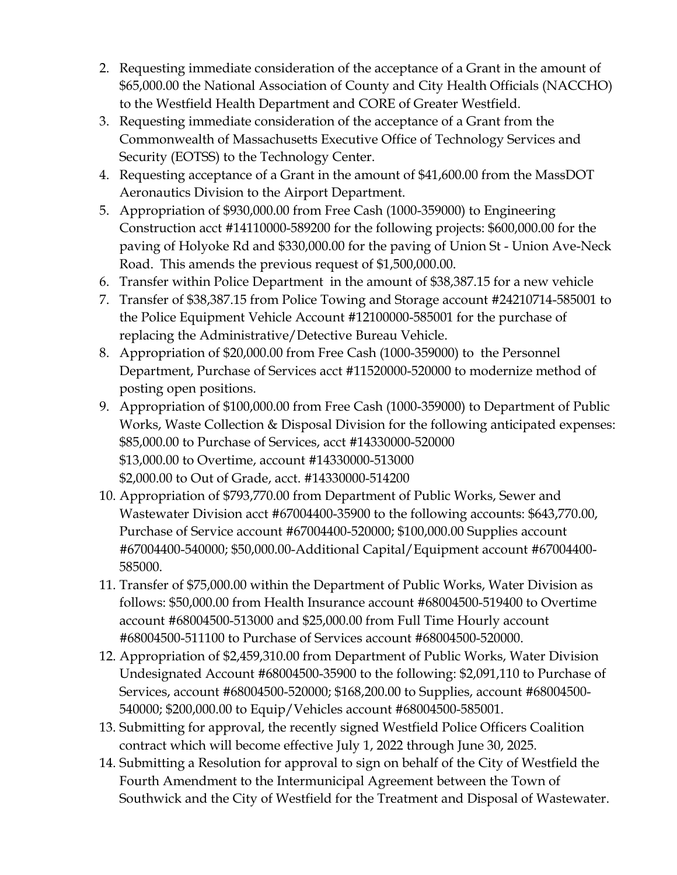- 2. Requesting immediate consideration of the acceptance of a Grant in the amount of \$65,000.00 the National Association of County and City Health Officials (NACCHO) to the Westfield Health Department and CORE of Greater Westfield.
- 3. Requesting immediate consideration of the acceptance of a Grant from the Commonwealth of Massachusetts Executive Office of Technology Services and Security (EOTSS) to the Technology Center.
- 4. Requesting acceptance of a Grant in the amount of \$41,600.00 from the MassDOT Aeronautics Division to the Airport Department.
- 5. Appropriation of \$930,000.00 from Free Cash (1000-359000) to Engineering Construction acct #14110000-589200 for the following projects: \$600,000.00 for the paving of Holyoke Rd and \$330,000.00 for the paving of Union St - Union Ave-Neck Road. This amends the previous request of \$1,500,000.00.
- 6. Transfer within Police Department in the amount of \$38,387.15 for a new vehicle
- 7. Transfer of \$38,387.15 from Police Towing and Storage account #24210714-585001 to the Police Equipment Vehicle Account #12100000-585001 for the purchase of replacing the Administrative/Detective Bureau Vehicle.
- 8. Appropriation of \$20,000.00 from Free Cash (1000-359000) to the Personnel Department, Purchase of Services acct #11520000-520000 to modernize method of posting open positions.
- 9. Appropriation of \$100,000.00 from Free Cash (1000-359000) to Department of Public Works, Waste Collection & Disposal Division for the following anticipated expenses: \$85,000.00 to Purchase of Services, acct #14330000-520000 \$13,000.00 to Overtime, account #14330000-513000 \$2,000.00 to Out of Grade, acct. #14330000-514200
- 10. Appropriation of \$793,770.00 from Department of Public Works, Sewer and Wastewater Division acct #67004400-35900 to the following accounts: \$643,770.00, Purchase of Service account #67004400-520000; \$100,000.00 Supplies account #67004400-540000; \$50,000.00-Additional Capital/Equipment account #67004400- 585000.
- 11. Transfer of \$75,000.00 within the Department of Public Works, Water Division as follows: \$50,000.00 from Health Insurance account #68004500-519400 to Overtime account #68004500-513000 and \$25,000.00 from Full Time Hourly account #68004500-511100 to Purchase of Services account #68004500-520000.
- 12. Appropriation of \$2,459,310.00 from Department of Public Works, Water Division Undesignated Account #68004500-35900 to the following: \$2,091,110 to Purchase of Services, account #68004500-520000; \$168,200.00 to Supplies, account #68004500- 540000; \$200,000.00 to Equip/Vehicles account #68004500-585001.
- 13. Submitting for approval, the recently signed Westfield Police Officers Coalition contract which will become effective July 1, 2022 through June 30, 2025.
- 14. Submitting a Resolution for approval to sign on behalf of the City of Westfield the Fourth Amendment to the Intermunicipal Agreement between the Town of Southwick and the City of Westfield for the Treatment and Disposal of Wastewater.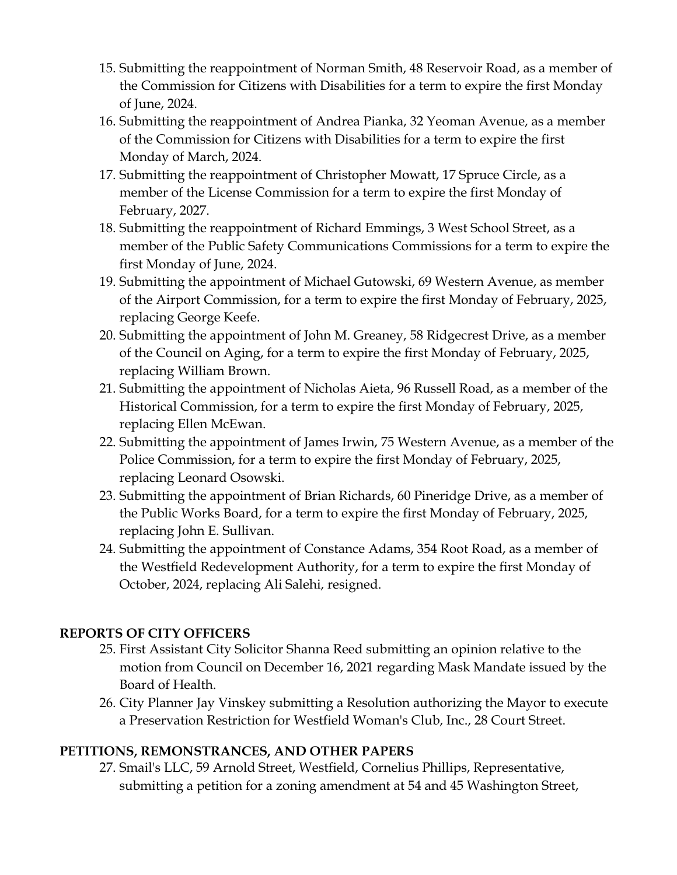- 15. Submitting the reappointment of Norman Smith, 48 Reservoir Road, as a member of the Commission for Citizens with Disabilities for a term to expire the first Monday of June, 2024.
- 16. Submitting the reappointment of Andrea Pianka, 32 Yeoman Avenue, as a member of the Commission for Citizens with Disabilities for a term to expire the first Monday of March, 2024.
- 17. Submitting the reappointment of Christopher Mowatt, 17 Spruce Circle, as a member of the License Commission for a term to expire the first Monday of February, 2027.
- 18. Submitting the reappointment of Richard Emmings, 3 West School Street, as a member of the Public Safety Communications Commissions for a term to expire the first Monday of June, 2024.
- 19. Submitting the appointment of Michael Gutowski, 69 Western Avenue, as member of the Airport Commission, for a term to expire the first Monday of February, 2025, replacing George Keefe.
- 20. Submitting the appointment of John M. Greaney, 58 Ridgecrest Drive, as a member of the Council on Aging, for a term to expire the first Monday of February, 2025, replacing William Brown.
- 21. Submitting the appointment of Nicholas Aieta, 96 Russell Road, as a member of the Historical Commission, for a term to expire the first Monday of February, 2025, replacing Ellen McEwan.
- 22. Submitting the appointment of James Irwin, 75 Western Avenue, as a member of the Police Commission, for a term to expire the first Monday of February, 2025, replacing Leonard Osowski.
- 23. Submitting the appointment of Brian Richards, 60 Pineridge Drive, as a member of the Public Works Board, for a term to expire the first Monday of February, 2025, replacing John E. Sullivan.
- 24. Submitting the appointment of Constance Adams, 354 Root Road, as a member of the Westfield Redevelopment Authority, for a term to expire the first Monday of October, 2024, replacing Ali Salehi, resigned.

## **REPORTS OF CITY OFFICERS**

- 25. First Assistant City Solicitor Shanna Reed submitting an opinion relative to the motion from Council on December 16, 2021 regarding Mask Mandate issued by the Board of Health.
- 26. City Planner Jay Vinskey submitting a Resolution authorizing the Mayor to execute a Preservation Restriction for Westfield Woman's Club, Inc., 28 Court Street.

#### **PETITIONS, REMONSTRANCES, AND OTHER PAPERS**

27. Smail's LLC, 59 Arnold Street, Westfield, Cornelius Phillips, Representative, submitting a petition for a zoning amendment at 54 and 45 Washington Street,